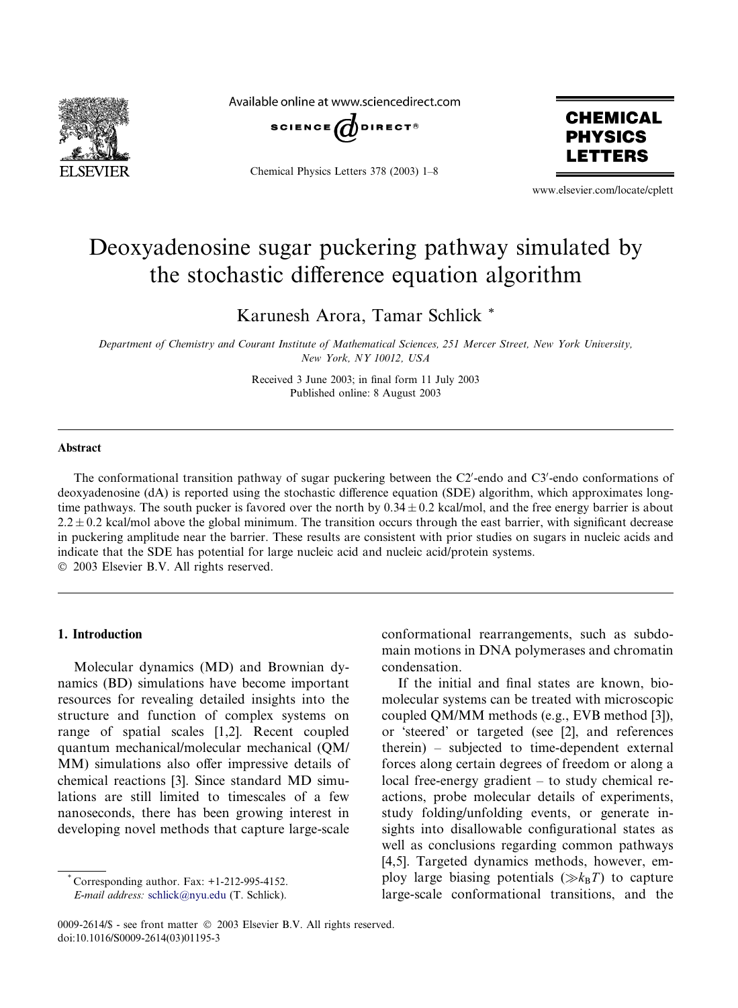

Available online at www.sciencedirect.com



Chemical Physics Letters 378 (2003) 1–8



www.elsevier.com/locate/cplett

# Deoxyadenosine sugar puckering pathway simulated by the stochastic difference equation algorithm

Karunesh Arora, Tamar Schlick \*

Department of Chemistry and Courant Institute of Mathematical Sciences, 251 Mercer Street, New York University, New York, NY 10012, USA

> Received 3 June 2003; in final form 11 July 2003 Published online: 8 August 2003

#### Abstract

The conformational transition pathway of sugar puckering between the C2'-endo and C3'-endo conformations of deoxyadenosine (dA) is reported using the stochastic difference equation (SDE) algorithm, which approximates longtime pathways. The south pucker is favored over the north by  $0.34 \pm 0.2$  kcal/mol, and the free energy barrier is about  $2.2 \pm 0.2$  kcal/mol above the global minimum. The transition occurs through the east barrier, with significant decrease in puckering amplitude near the barrier. These results are consistent with prior studies on sugars in nucleic acids and indicate that the SDE has potential for large nucleic acid and nucleic acid/protein systems. 2003 Elsevier B.V. All rights reserved.

1. Introduction

Molecular dynamics (MD) and Brownian dynamics (BD) simulations have become important resources for revealing detailed insights into the structure and function of complex systems on range of spatial scales [1,2]. Recent coupled quantum mechanical/molecular mechanical (QM/ MM) simulations also offer impressive details of chemical reactions [3]. Since standard MD simulations are still limited to timescales of a few nanoseconds, there has been growing interest in developing novel methods that capture large-scale

\* Corresponding author. Fax: +1-212-995-4152.

E-mail address: [schlick@nyu.edu](mail to: schlick@nyu.edu) (T. Schlick).

conformational rearrangements, such as subdomain motions in DNA polymerases and chromatin condensation.

If the initial and final states are known, biomolecular systems can be treated with microscopic coupled QM/MM methods (e.g., EVB method [3]), or 'steered' or targeted (see [2], and references therein) – subjected to time-dependent external forces along certain degrees of freedom or along a local free-energy gradient – to study chemical reactions, probe molecular details of experiments, study folding/unfolding events, or generate insights into disallowable configurational states as well as conclusions regarding common pathways [4,5]. Targeted dynamics methods, however, employ large biasing potentials  $(\gg k_BT)$  to capture large-scale conformational transitions, and the

<sup>0009-2614/\$ -</sup> see front matter  $\degree$  2003 Elsevier B.V. All rights reserved. doi:10.1016/S0009-2614(03)01195-3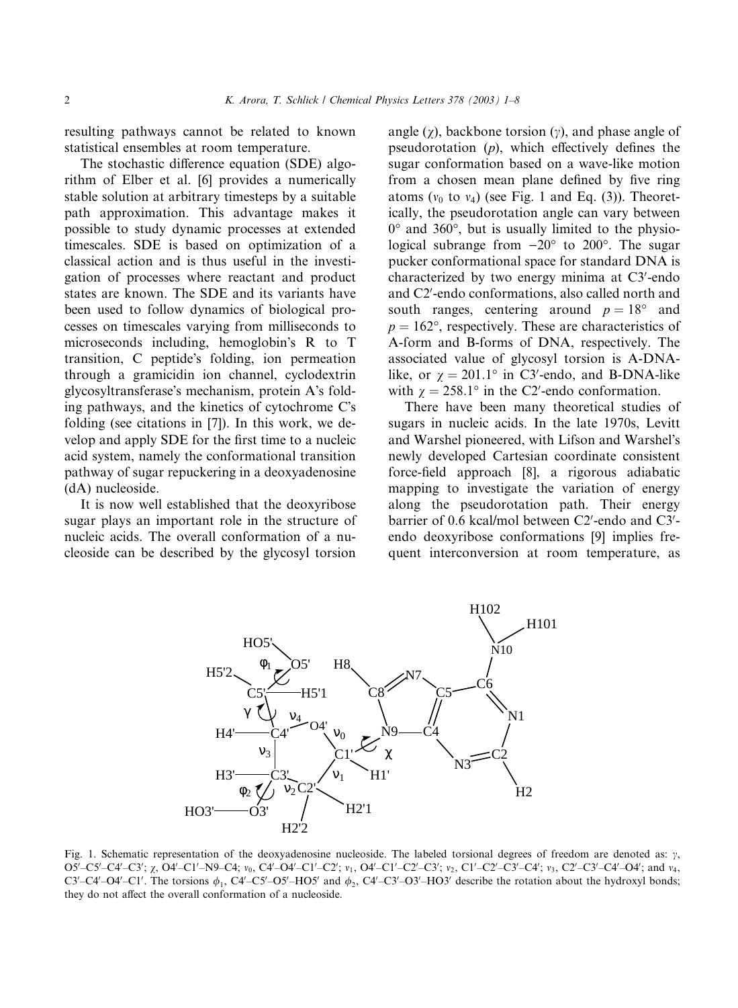resulting pathways cannot be related to known statistical ensembles at room temperature.

The stochastic difference equation (SDE) algorithm of Elber et al. [6] provides a numerically stable solution at arbitrary timesteps by a suitable path approximation. This advantage makes it possible to study dynamic processes at extended timescales. SDE is based on optimization of a classical action and is thus useful in the investigation of processes where reactant and product states are known. The SDE and its variants have been used to follow dynamics of biological processes on timescales varying from milliseconds to microseconds including, hemoglobin's R to T transition, C peptide's folding, ion permeation through a gramicidin ion channel, cyclodextrin glycosyltransferase's mechanism, protein A's folding pathways, and the kinetics of cytochrome C's folding (see citations in [7]). In this work, we develop and apply SDE for the first time to a nucleic acid system, namely the conformational transition pathway of sugar repuckering in a deoxyadenosine (dA) nucleoside.

It is now well established that the deoxyribose sugar plays an important role in the structure of nucleic acids. The overall conformation of a nucleoside can be described by the glycosyl torsion

angle  $(\chi)$ , backbone torsion  $(\gamma)$ , and phase angle of pseudorotation  $(p)$ , which effectively defines the sugar conformation based on a wave-like motion from a chosen mean plane defined by five ring atoms ( $v_0$  to  $v_4$ ) (see Fig. 1 and Eq. (3)). Theoretically, the pseudorotation angle can vary between  $0^{\circ}$  and 360 $^{\circ}$ , but is usually limited to the physiological subrange from  $-20^{\circ}$  to  $200^{\circ}$ . The sugar pucker conformational space for standard DNA is characterized by two energy minima at C3'-endo and C2'-endo conformations, also called north and south ranges, centering around  $p = 18^{\circ}$  and  $p = 162^{\circ}$ , respectively. These are characteristics of A-form and B-forms of DNA, respectively. The associated value of glycosyl torsion is A-DNAlike, or  $\chi = 201.1^{\circ}$  in C3'-endo, and B-DNA-like with  $\chi = 258.1^{\circ}$  in the C2'-endo conformation.

There have been many theoretical studies of sugars in nucleic acids. In the late 1970s, Levitt and Warshel pioneered, with Lifson and Warshel's newly developed Cartesian coordinate consistent force-field approach [8], a rigorous adiabatic mapping to investigate the variation of energy along the pseudorotation path. Their energy barrier of 0.6 kcal/mol between C2'-endo and C3'endo deoxyribose conformations [9] implies frequent interconversion at room temperature, as



Fig. 1. Schematic representation of the deoxyadenosine nucleoside. The labeled torsional degrees of freedom are denoted as:  $\gamma$ , O5'-C5'-C4'-C3'; χ, O4'-C1'-N9-C4; ν<sub>0</sub>, C4'-O4'-C1'-C2'; ν<sub>1</sub>, O4'-C1'-C2'-C3'; ν<sub>2</sub>, C1'-C2'-C3'-C4'; ν<sub>3</sub>, C2'-C3'-C4'-O4'; and ν<sub>4</sub>, C3'-C4'-O4'-C1'. The torsions  $\phi_1$ , C4'-C5'-O5'-HO5' and  $\phi_2$ , C4'-C3'-O3'-HO3' describe the rotation about the hydroxyl bonds; they do not affect the overall conformation of a nucleoside.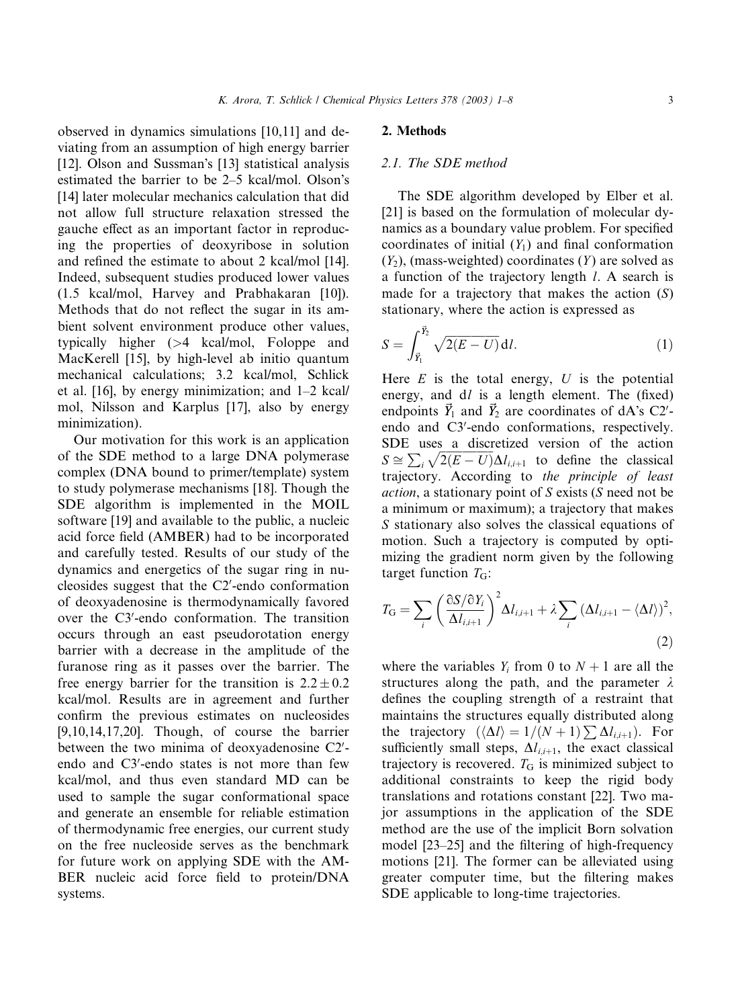observed in dynamics simulations [10,11] and deviating from an assumption of high energy barrier [12]. Olson and Sussman's [13] statistical analysis estimated the barrier to be 2–5 kcal/mol. Olson's [14] later molecular mechanics calculation that did not allow full structure relaxation stressed the gauche effect as an important factor in reproducing the properties of deoxyribose in solution and refined the estimate to about 2 kcal/mol [14]. Indeed, subsequent studies produced lower values (1.5 kcal/mol, Harvey and Prabhakaran [10]). Methods that do not reflect the sugar in its ambient solvent environment produce other values, typically higher (>4 kcal/mol, Foloppe and MacKerell [15], by high-level ab initio quantum mechanical calculations; 3.2 kcal/mol, Schlick

et al. [16], by energy minimization; and 1–2 kcal/ mol, Nilsson and Karplus [17], also by energy

minimization). Our motivation for this work is an application of the SDE method to a large DNA polymerase complex (DNA bound to primer/template) system to study polymerase mechanisms [18]. Though the SDE algorithm is implemented in the MOIL software [19] and available to the public, a nucleic acid force field (AMBER) had to be incorporated and carefully tested. Results of our study of the dynamics and energetics of the sugar ring in nucleosides suggest that the C2'-endo conformation of deoxyadenosine is thermodynamically favored over the C3'-endo conformation. The transition occurs through an east pseudorotation energy barrier with a decrease in the amplitude of the furanose ring as it passes over the barrier. The free energy barrier for the transition is  $2.2 \pm 0.2$ kcal/mol. Results are in agreement and further confirm the previous estimates on nucleosides [9,10,14,17,20]. Though, of course the barrier between the two minima of deoxyadenosine C2'endo and C3'-endo states is not more than few kcal/mol, and thus even standard MD can be used to sample the sugar conformational space and generate an ensemble for reliable estimation of thermodynamic free energies, our current study on the free nucleoside serves as the benchmark for future work on applying SDE with the AM-BER nucleic acid force field to protein/DNA systems.

#### 2. Methods

#### 2.1. The SDE method

The SDE algorithm developed by Elber et al. [21] is based on the formulation of molecular dynamics as a boundary value problem. For specified coordinates of initial  $(Y_1)$  and final conformation  $(Y_2)$ , (mass-weighted) coordinates  $(Y)$  are solved as a function of the trajectory length l. A search is made for a trajectory that makes the action  $(S)$ stationary, where the action is expressed as

$$
S = \int_{\vec{Y}_1}^{\vec{Y}_2} \sqrt{2(E - U)} \, \mathrm{d}l. \tag{1}
$$

Here  $E$  is the total energy,  $U$  is the potential energy, and  $dl$  is a length element. The (fixed) endpoints  $\vec{Y}_1$  and  $\vec{Y}_2$  are coordinates of dA's C2'endo and C3'-endo conformations, respectively. SDE uses a discretized version of the action  $S \cong \sum_i$  $\sqrt{2(E - U)} \Delta l_{i,i+1}$  to define the classical trajectory. According to the principle of least action, a stationary point of S exists (S need not be a minimum or maximum); a trajectory that makes S stationary also solves the classical equations of motion. Such a trajectory is computed by optimizing the gradient norm given by the following target function  $T_{\text{G}}$ :

$$
T_{\rm G} = \sum_{i} \left( \frac{\partial S / \partial Y_{i}}{\Delta l_{i,i+1}} \right)^{2} \Delta l_{i,i+1} + \lambda \sum_{i} \left( \Delta l_{i,i+1} - \langle \Delta l \rangle \right)^{2},\tag{2}
$$

where the variables  $Y_i$  from 0 to  $N + 1$  are all the structures along the path, and the parameter  $\lambda$ defines the coupling strength of a restraint that maintains the structures equally distributed along the trajectory  $(\langle \Delta l \rangle = 1/(N+1) \sum \Delta l_{i,i+1})$ . For sufficiently small steps,  $\Delta l_{i,i+1}$ , the exact classical trajectory is recovered.  $T_G$  is minimized subject to additional constraints to keep the rigid body translations and rotations constant [22]. Two major assumptions in the application of the SDE method are the use of the implicit Born solvation model [23–25] and the filtering of high-frequency motions [21]. The former can be alleviated using greater computer time, but the filtering makes SDE applicable to long-time trajectories.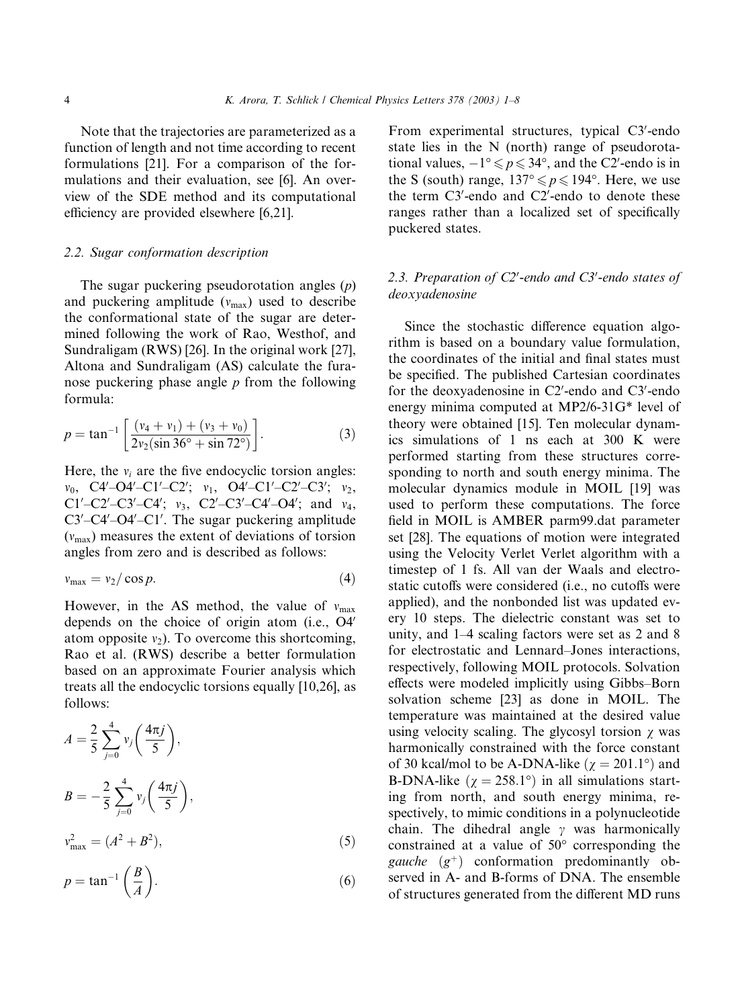Note that the trajectories are parameterized as a function of length and not time according to recent formulations [21]. For a comparison of the formulations and their evaluation, see [6]. An overview of the SDE method and its computational efficiency are provided elsewhere [6,21].

## 2.2. Sugar conformation description

The sugar puckering pseudorotation angles  $(p)$ and puckering amplitude  $(v<sub>max</sub>)$  used to describe the conformational state of the sugar are determined following the work of Rao, Westhof, and Sundraligam (RWS) [26]. In the original work [27], Altona and Sundraligam (AS) calculate the furanose puckering phase angle  $p$  from the following formula:

$$
p = \tan^{-1} \left[ \frac{(v_4 + v_1) + (v_3 + v_0)}{2v_2(\sin 36^\circ + \sin 72^\circ)} \right].
$$
 (3)

Here, the  $v_i$  are the five endocyclic torsion angles:  $v_0$ , C4'–O4'–C1'–C2';  $v_1$ , O4'–C1'–C2'–C3';  $v_2$ ,  $C1'$ - $C2'$ - $C3'$ - $C4'$ ;  $v_3$ ,  $C2'$ - $C3'$ - $C4'$ - $O4'$ ; and  $v_4$ ,  $C3'$ - $C4'$ - $O4'$ - $C1'$ . The sugar puckering amplitude  $(v<sub>max</sub>)$  measures the extent of deviations of torsion angles from zero and is described as follows:

$$
v_{\text{max}} = v_2 / \cos p. \tag{4}
$$

However, in the AS method, the value of  $v_{\text{max}}$ depends on the choice of origin atom (i.e.,  $O4'$ atom opposite  $v_2$ ). To overcome this shortcoming, Rao et al. (RWS) describe a better formulation based on an approximate Fourier analysis which treats all the endocyclic torsions equally [10,26], as follows:

$$
A = \frac{2}{5} \sum_{j=0}^{4} v_j \left( \frac{4\pi j}{5} \right),
$$
  
\n
$$
B = -\frac{2}{5} \sum_{j=0}^{4} v_j \left( \frac{4\pi j}{5} \right),
$$

$$
v_{\text{max}}^2 = (A^2 + B^2),\tag{5}
$$

$$
p = \tan^{-1}\left(\frac{B}{A}\right). \tag{6}
$$

From experimental structures, typical C3'-endo state lies in the N (north) range of pseudorotational values,  $-1^{\circ} \leq p \leq 34^{\circ}$ , and the C2'-endo is in the S (south) range,  $137^{\circ} \leq p \leq 194^{\circ}$ . Here, we use the term C3'-endo and C2'-endo to denote these ranges rather than a localized set of specifically puckered states.

## 2.3. Preparation of  $C2'$ -endo and  $C3'$ -endo states of deoxyadenosine

Since the stochastic difference equation algorithm is based on a boundary value formulation, the coordinates of the initial and final states must be specified. The published Cartesian coordinates for the deoxyadenosine in C2'-endo and C3'-endo energy minima computed at MP2/6-31G\* level of theory were obtained [15]. Ten molecular dynamics simulations of 1 ns each at 300 K were performed starting from these structures corresponding to north and south energy minima. The molecular dynamics module in MOIL [19] was used to perform these computations. The force field in MOIL is AMBER parm99.dat parameter set [28]. The equations of motion were integrated using the Velocity Verlet Verlet algorithm with a timestep of 1 fs. All van der Waals and electrostatic cutoffs were considered (i.e., no cutoffs were applied), and the nonbonded list was updated every 10 steps. The dielectric constant was set to unity, and 1–4 scaling factors were set as 2 and 8 for electrostatic and Lennard–Jones interactions, respectively, following MOIL protocols. Solvation effects were modeled implicitly using Gibbs–Born solvation scheme [23] as done in MOIL. The temperature was maintained at the desired value using velocity scaling. The glycosyl torsion  $\gamma$  was harmonically constrained with the force constant of 30 kcal/mol to be A-DNA-like ( $\chi = 201.1^{\circ}$ ) and B-DNA-like ( $\chi = 258.1^{\circ}$ ) in all simulations starting from north, and south energy minima, respectively, to mimic conditions in a polynucleotide chain. The dihedral angle  $\gamma$  was harmonically constrained at a value of  $50^{\circ}$  corresponding the *gauche*  $(g^+)$  conformation predominantly observed in A- and B-forms of DNA. The ensemble of structures generated from the different MD runs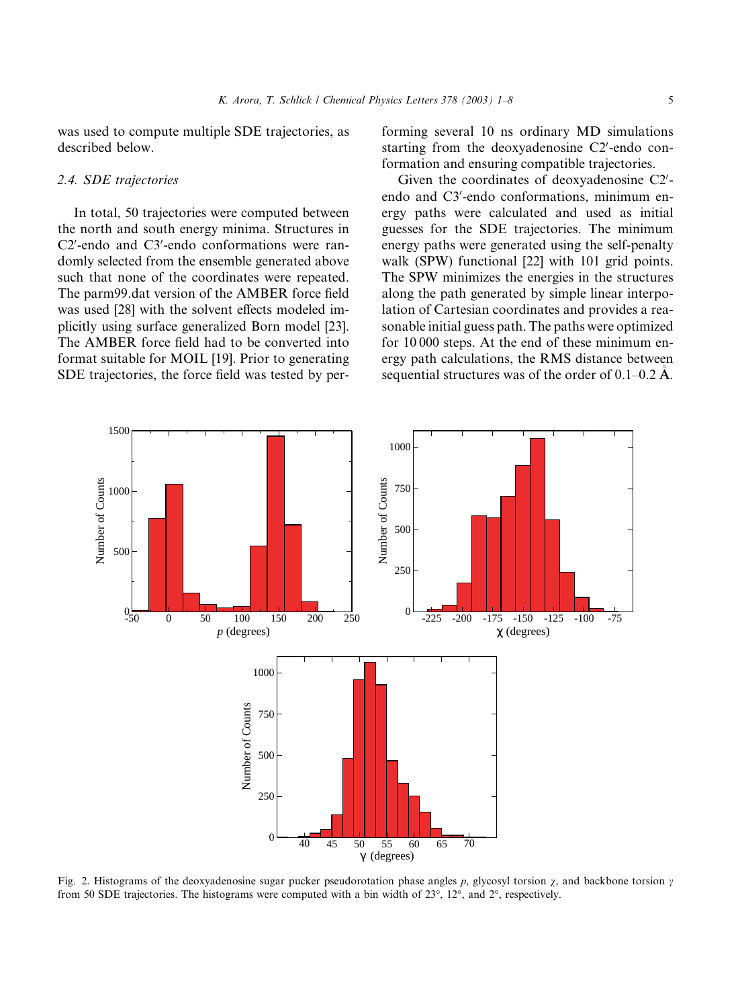was used to compute multiple SDE trajectories, as described below.

## 2.4. SDE trajectories

In total, 50 trajectories were computed between the north and south energy minima. Structures in C2'-endo and C3'-endo conformations were randomly selected from the ensemble generated above such that none of the coordinates were repeated. The parm99.dat version of the AMBER force field was used [28] with the solvent effects modeled implicitly using surface generalized Born model [23]. The AMBER force field had to be converted into format suitable for MOIL [19]. Prior to generating SDE trajectories, the force field was tested by performing several 10 ns ordinary MD simulations starting from the deoxyadenosine C2'-endo conformation and ensuring compatible trajectories.

Given the coordinates of deoxyadenosine C2'endo and C3'-endo conformations, minimum energy paths were calculated and used as initial guesses for the SDE trajectories. The minimum energy paths were generated using the self-penalty walk (SPW) functional [22] with 101 grid points. The SPW minimizes the energies in the structures along the path generated by simple linear interpolation of Cartesian coordinates and provides a reasonable initial guess path. The paths were optimized for 10 000 steps. At the end of these minimum energy path calculations, the RMS distance between sequential structures was of the order of  $0.1-0.2$  Å.



Fig. 2. Histograms of the deoxyadenosine sugar pucker pseudorotation phase angles p, glycosyl torsion  $\chi$ , and backbone torsion  $\gamma$ from 50 SDE trajectories. The histograms were computed with a bin width of  $23^{\circ}$ ,  $12^{\circ}$ , and  $2^{\circ}$ , respectively.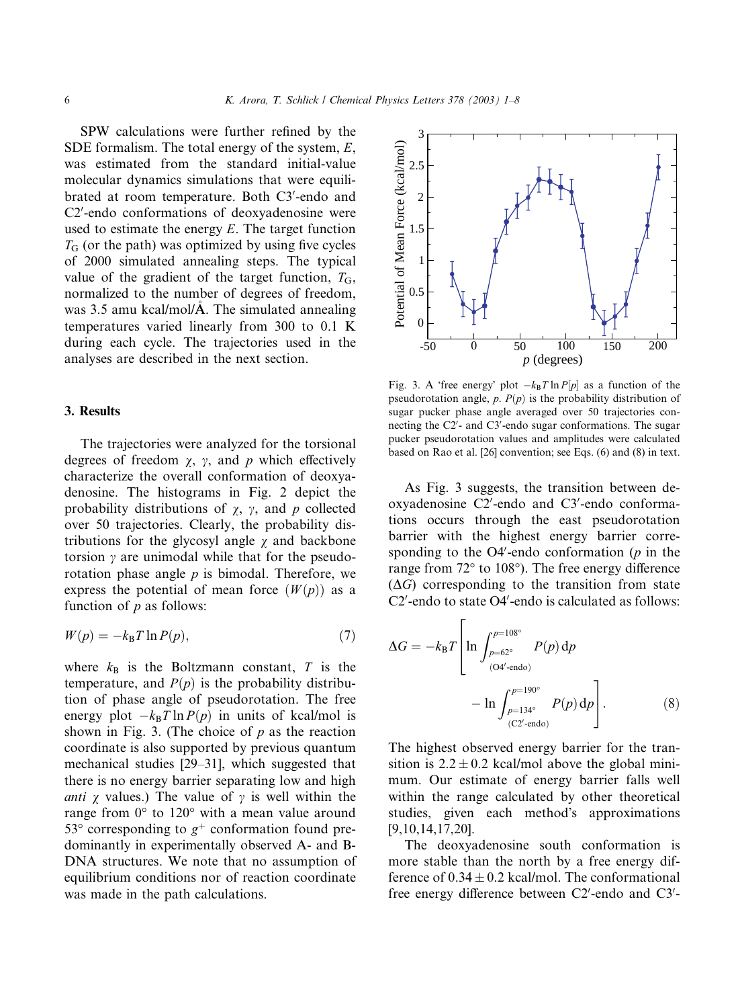SPW calculations were further refined by the SDE formalism. The total energy of the system,  $E$ , was estimated from the standard initial-value molecular dynamics simulations that were equilibrated at room temperature. Both C3'-endo and C2'-endo conformations of deoxyadenosine were used to estimate the energy  $E$ . The target function  $T<sub>G</sub>$  (or the path) was optimized by using five cycles of 2000 simulated annealing steps. The typical value of the gradient of the target function,  $T<sub>G</sub>$ , normalized to the number of degrees of freedom, was 3.5 amu kcal/mol/ $\vec{A}$ . The simulated annealing temperatures varied linearly from 300 to 0.1 K during each cycle. The trajectories used in the analyses are described in the next section.

## 3. Results

The trajectories were analyzed for the torsional degrees of freedom  $\chi$ ,  $\gamma$ , and p which effectively characterize the overall conformation of deoxyadenosine. The histograms in Fig. 2 depict the probability distributions of  $\chi$ ,  $\gamma$ , and p collected over 50 trajectories. Clearly, the probability distributions for the glycosyl angle  $\chi$  and backbone torsion  $\gamma$  are unimodal while that for the pseudorotation phase angle  $p$  is bimodal. Therefore, we express the potential of mean force  $(W(p))$  as a function of  $p$  as follows:

$$
W(p) = -k_B T \ln P(p),\tag{7}
$$

where  $k_B$  is the Boltzmann constant, T is the temperature, and  $P(p)$  is the probability distribution of phase angle of pseudorotation. The free energy plot  $-k_BT \ln P(p)$  in units of kcal/mol is shown in Fig. 3. (The choice of  $p$  as the reaction coordinate is also supported by previous quantum mechanical studies [29–31], which suggested that there is no energy barrier separating low and high anti  $\chi$  values.) The value of  $\gamma$  is well within the range from  $0^{\circ}$  to  $120^{\circ}$  with a mean value around 53 $\degree$  corresponding to  $g^+$  conformation found predominantly in experimentally observed A- and B-DNA structures. We note that no assumption of equilibrium conditions nor of reaction coordinate was made in the path calculations.



Fig. 3. A 'free energy' plot  $-k_B T \ln P[p]$  as a function of the pseudorotation angle,  $p. P(p)$  is the probability distribution of sugar pucker phase angle averaged over 50 trajectories connecting the C2'- and C3'-endo sugar conformations. The sugar pucker pseudorotation values and amplitudes were calculated based on Rao et al. [26] convention; see Eqs. (6) and (8) in text.

As Fig. 3 suggests, the transition between deoxyadenosine C2'-endo and C3'-endo conformations occurs through the east pseudorotation barrier with the highest energy barrier corresponding to the O4'-endo conformation ( $p$  in the range from 72° to 108°). The free energy difference  $(\Delta G)$  corresponding to the transition from state C2'-endo to state O4'-endo is calculated as follows:

$$
\Delta G = -k_{\rm B}T \left[ \ln \int_{p=62^{\circ}}^{p=108^{\circ}} P(p) \, dp -\ln \int_{p=134^{\circ}}^{p=190^{\circ}} P(p) \, dp \right]. \tag{8}
$$

The highest observed energy barrier for the transition is  $2.2 \pm 0.2$  kcal/mol above the global minimum. Our estimate of energy barrier falls well within the range calculated by other theoretical studies, given each method's approximations [9,10,14,17,20].

The deoxyadenosine south conformation is more stable than the north by a free energy difference of  $0.34 \pm 0.2$  kcal/mol. The conformational free energy difference between C2'-endo and C3'-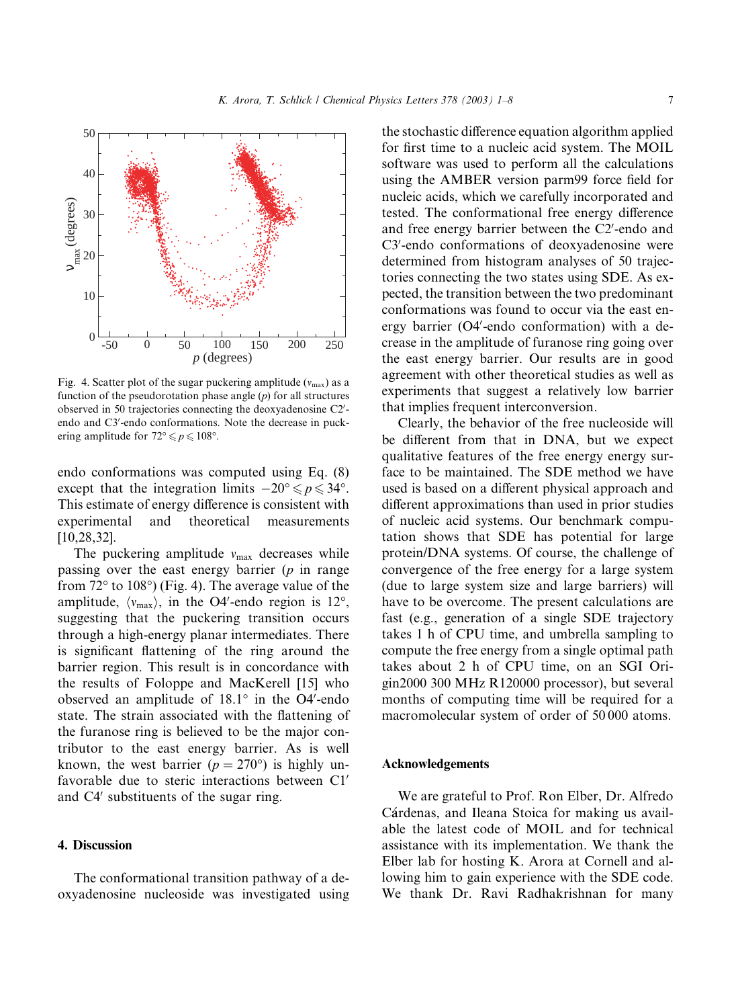

Fig. 4. Scatter plot of the sugar puckering amplitude ( $v_{\text{max}}$ ) as a function of the pseudorotation phase angle  $(p)$  for all structures observed in 50 trajectories connecting the deoxyadenosine C2'endo and C3'-endo conformations. Note the decrease in puckering amplitude for  $72^{\circ} \leq p \leq 108^{\circ}$ .

endo conformations was computed using Eq. (8) except that the integration limits  $-20^{\circ} \leq p \leq 34^{\circ}$ . This estimate of energy difference is consistent with experimental and theoretical measurements [10,28,32].

The puckering amplitude  $v_{\text{max}}$  decreases while passing over the east energy barrier  $(p \text{ in range})$ from  $72^{\circ}$  to  $108^{\circ}$ ) (Fig. 4). The average value of the amplitude,  $\langle v_{\text{max}} \rangle$ , in the O4'-endo region is 12°, suggesting that the puckering transition occurs through a high-energy planar intermediates. There is significant flattening of the ring around the barrier region. This result is in concordance with the results of Foloppe and MacKerell [15] who observed an amplitude of  $18.1^\circ$  in the O4'-endo state. The strain associated with the flattening of the furanose ring is believed to be the major contributor to the east energy barrier. As is well known, the west barrier ( $p = 270^{\circ}$ ) is highly unfavorable due to steric interactions between  $Cl'$ and C4<sup> $\prime$ </sup> substituents of the sugar ring.

#### 4. Discussion

The conformational transition pathway of a deoxyadenosine nucleoside was investigated using the stochastic difference equation algorithm applied for first time to a nucleic acid system. The MOIL software was used to perform all the calculations using the AMBER version parm99 force field for nucleic acids, which we carefully incorporated and tested. The conformational free energy difference and free energy barrier between the C2'-endo and C3'-endo conformations of deoxyadenosine were determined from histogram analyses of 50 trajectories connecting the two states using SDE. As expected, the transition between the two predominant conformations was found to occur via the east energy barrier (O4'-endo conformation) with a decrease in the amplitude of furanose ring going over the east energy barrier. Our results are in good agreement with other theoretical studies as well as experiments that suggest a relatively low barrier that implies frequent interconversion.

Clearly, the behavior of the free nucleoside will be different from that in DNA, but we expect qualitative features of the free energy energy surface to be maintained. The SDE method we have used is based on a different physical approach and different approximations than used in prior studies of nucleic acid systems. Our benchmark computation shows that SDE has potential for large protein/DNA systems. Of course, the challenge of convergence of the free energy for a large system (due to large system size and large barriers) will have to be overcome. The present calculations are fast (e.g., generation of a single SDE trajectory takes 1 h of CPU time, and umbrella sampling to compute the free energy from a single optimal path takes about 2 h of CPU time, on an SGI Origin2000 300 MHz R120000 processor), but several months of computing time will be required for a macromolecular system of order of 50 000 atoms.

#### Acknowledgements

We are grateful to Prof. Ron Elber, Dr. Alfredo Cárdenas, and Ileana Stoica for making us available the latest code of MOIL and for technical assistance with its implementation. We thank the Elber lab for hosting K. Arora at Cornell and allowing him to gain experience with the SDE code. We thank Dr. Ravi Radhakrishnan for many